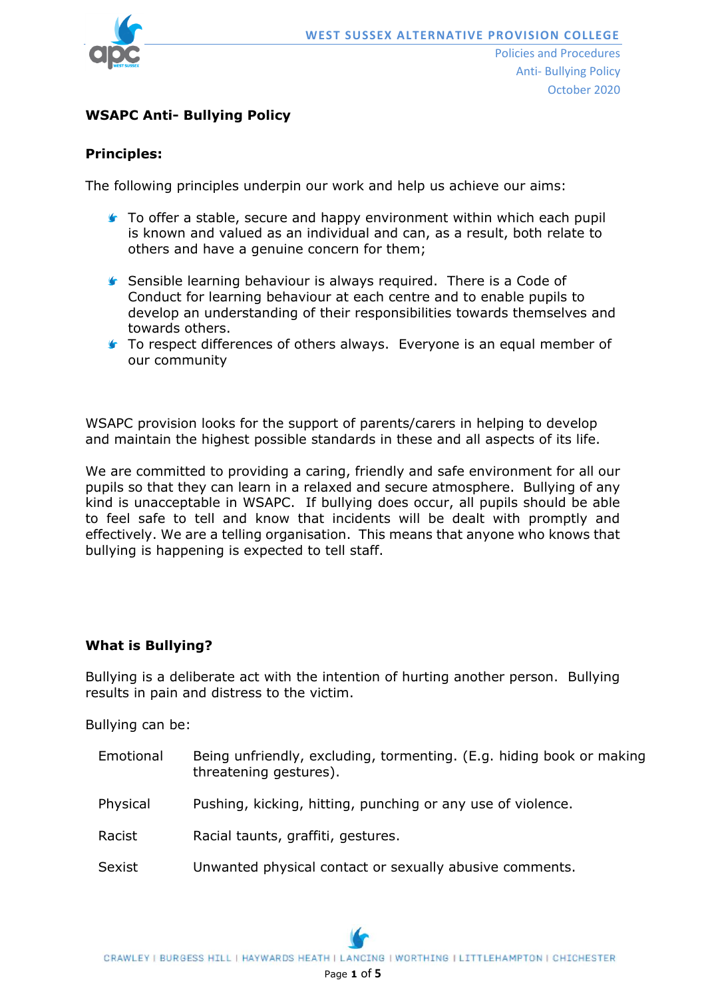

## **WSAPC Anti- Bullying Policy**

### **Principles:**

The following principles underpin our work and help us achieve our aims:

- **To offer a stable, secure and happy environment within which each pupil** is known and valued as an individual and can, as a result, both relate to others and have a genuine concern for them;
- **Sensible learning behaviour is always required.** There is a Code of Conduct for learning behaviour at each centre and to enable pupils to develop an understanding of their responsibilities towards themselves and towards others.
- **T** To respect differences of others always. Everyone is an equal member of our community

WSAPC provision looks for the support of parents/carers in helping to develop and maintain the highest possible standards in these and all aspects of its life.

We are committed to providing a caring, friendly and safe environment for all our pupils so that they can learn in a relaxed and secure atmosphere. Bullying of any kind is unacceptable in WSAPC. If bullying does occur, all pupils should be able to feel safe to tell and know that incidents will be dealt with promptly and effectively. We are a telling organisation. This means that anyone who knows that bullying is happening is expected to tell staff.

#### **What is Bullying?**

Bullying is a deliberate act with the intention of hurting another person. Bullying results in pain and distress to the victim.

Bullying can be:

- Emotional Being unfriendly, excluding, tormenting. (E.g. hiding book or making threatening gestures).
- Physical Pushing, kicking, hitting, punching or any use of violence.
- Racist Racial taunts, graffiti, gestures.
- Sexist Unwanted physical contact or sexually abusive comments.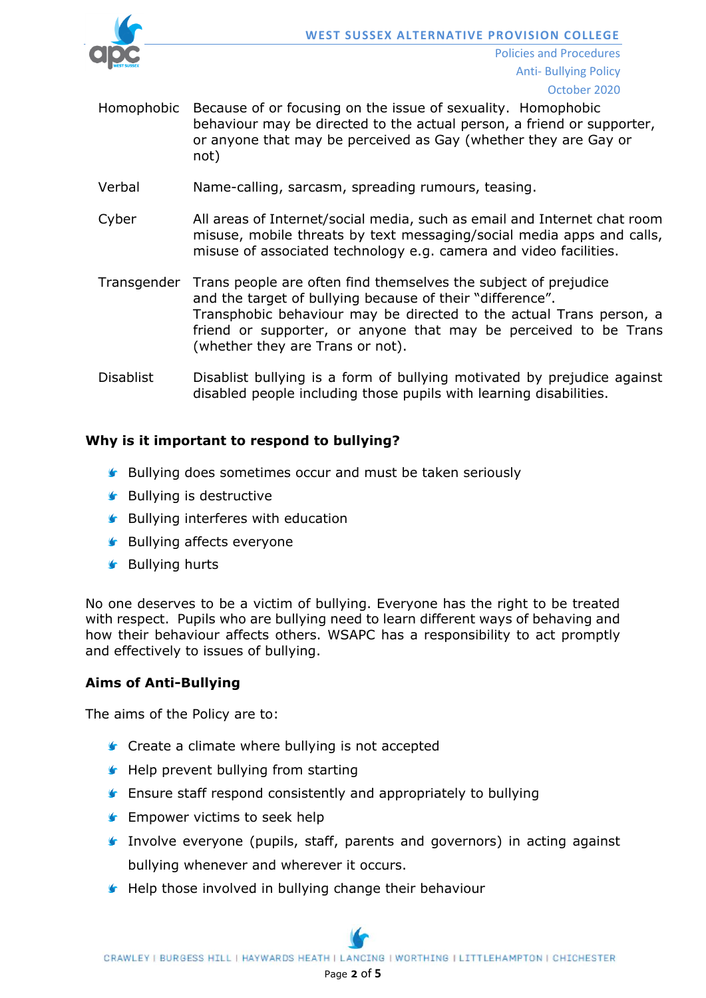

- Homophobic Because of or focusing on the issue of sexuality. Homophobic behaviour may be directed to the actual person, a friend or supporter, or anyone that may be perceived as Gay (whether they are Gay or not)
- Verbal Name-calling, sarcasm, spreading rumours, teasing.
- Cyber All areas of Internet/social media, such as email and Internet chat room misuse, mobile threats by text messaging/social media apps and calls, misuse of associated technology e.g. camera and video facilities.
- Transgender Trans people are often find themselves the subject of prejudice and the target of bullying because of their "difference". Transphobic behaviour may be directed to the actual Trans person, a friend or supporter, or anyone that may be perceived to be Trans (whether they are Trans or not).
- Disablist Disablist bullying is a form of bullying motivated by prejudice against disabled people including those pupils with learning disabilities.

# **Why is it important to respond to bullying?**

- **G** Bullying does sometimes occur and must be taken seriously
- **S** Bullying is destructive
- **Bullying interferes with education**
- **S** Bullying affects everyone
- **S** Bullying hurts

No one deserves to be a victim of bullying. Everyone has the right to be treated with respect. Pupils who are bullying need to learn different ways of behaving and how their behaviour affects others. WSAPC has a responsibility to act promptly and effectively to issues of bullying.

# **Aims of Anti-Bullying**

The aims of the Policy are to:

- **Create a climate where bullying is not accepted**
- $\blacktriangleright$  Help prevent bullying from starting
- **F** Ensure staff respond consistently and appropriately to bullying
- **F** Empower victims to seek help
- **Involve everyone (pupils, staff, parents and governors) in acting against** bullying whenever and wherever it occurs.
- **Help those involved in bullying change their behaviour**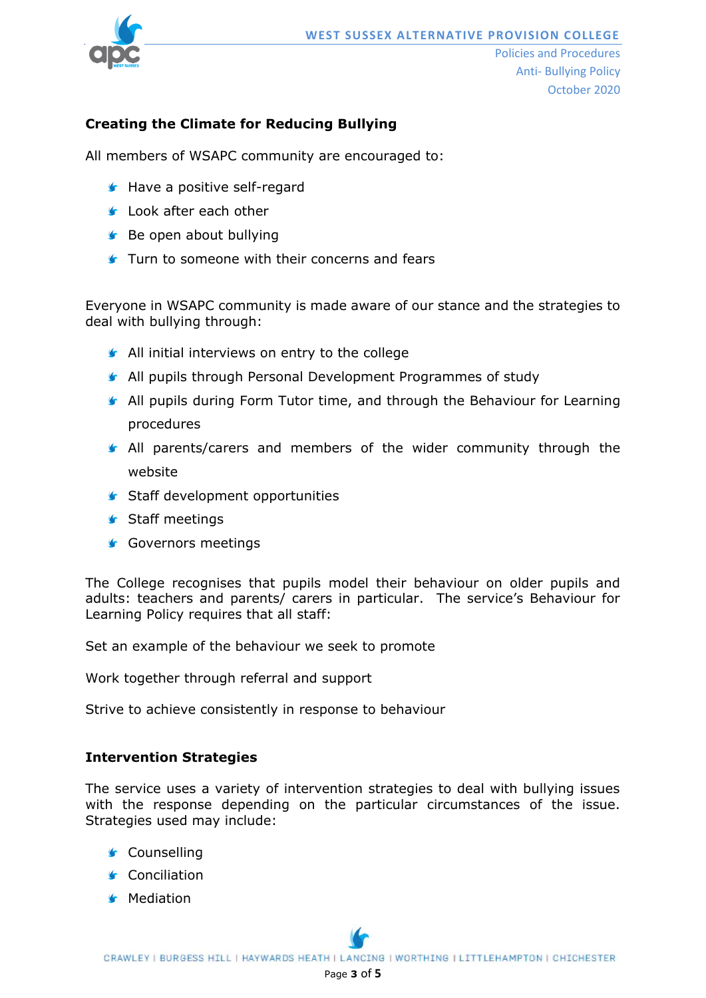

# **Creating the Climate for Reducing Bullying**

All members of WSAPC community are encouraged to:

- **Have a positive self-regard**
- **Look after each other**
- **Be open about bullying**
- **Turn to someone with their concerns and fears**

Everyone in WSAPC community is made aware of our stance and the strategies to deal with bullying through:

- **All initial interviews on entry to the college**
- All pupils through Personal Development Programmes of study
- All pupils during Form Tutor time, and through the Behaviour for Learning procedures
- All parents/carers and members of the wider community through the website
- **Staff development opportunities**
- **Staff meetings**
- **Governors meetings**

The College recognises that pupils model their behaviour on older pupils and adults: teachers and parents/ carers in particular. The service's Behaviour for Learning Policy requires that all staff:

Set an example of the behaviour we seek to promote

Work together through referral and support

Strive to achieve consistently in response to behaviour

#### **Intervention Strategies**

The service uses a variety of intervention strategies to deal with bullying issues with the response depending on the particular circumstances of the issue. Strategies used may include:

- Counselling
- **G** Conciliation
- **S** Mediation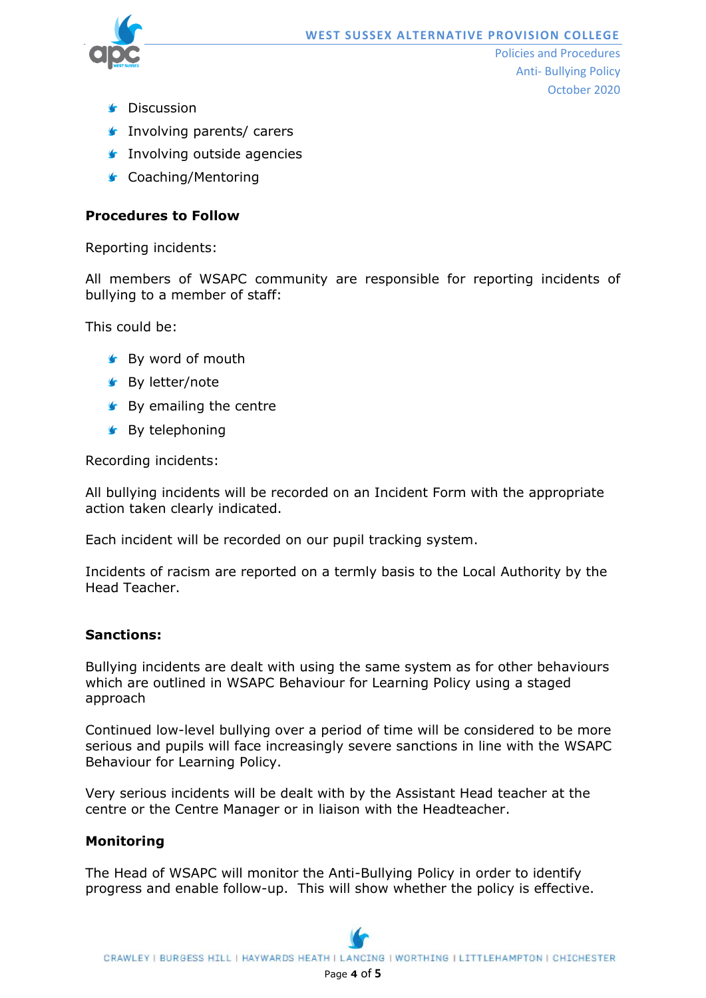

- **G** Discussion
- **Involving parents/ carers**
- **Involving outside agencies**
- **G** Coaching/Mentoring

### **Procedures to Follow**

Reporting incidents:

All members of WSAPC community are responsible for reporting incidents of bullying to a member of staff:

This could be:

- **S** By word of mouth
- **Sy** letter/note
- **S** By emailing the centre
- **SBy telephoning**

Recording incidents:

All bullying incidents will be recorded on an Incident Form with the appropriate action taken clearly indicated.

Each incident will be recorded on our pupil tracking system.

Incidents of racism are reported on a termly basis to the Local Authority by the Head Teacher.

### **Sanctions:**

Bullying incidents are dealt with using the same system as for other behaviours which are outlined in WSAPC Behaviour for Learning Policy using a staged approach

Continued low-level bullying over a period of time will be considered to be more serious and pupils will face increasingly severe sanctions in line with the WSAPC Behaviour for Learning Policy.

Very serious incidents will be dealt with by the Assistant Head teacher at the centre or the Centre Manager or in liaison with the Headteacher.

#### **Monitoring**

The Head of WSAPC will monitor the Anti-Bullying Policy in order to identify progress and enable follow-up. This will show whether the policy is effective.